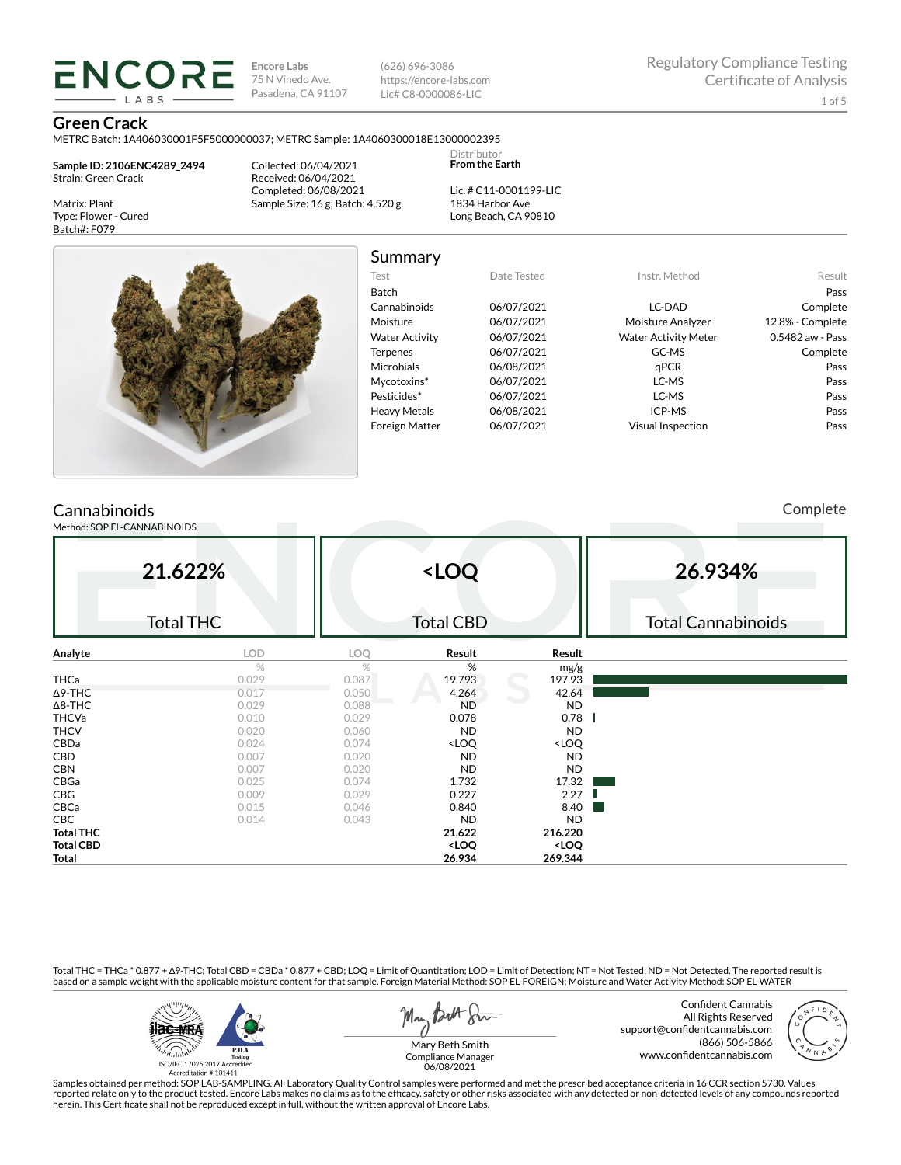**Encore Labs** 75 N Vinedo Ave. Pasadena, CA 91107 (626) 696-3086 https://encore-labs.com Lic# C8-0000086-LIC

#### **Green Crack**

METRC Batch: 1A406030001F5F5000000037; METRC Sample: 1A4060300018E13000002395

**Sample ID: 2106ENC4289\_2494** Strain: Green Crack

**ENCORE IARS** 

Matrix: Plant Type: Flower - Cured Batch#: F079

Collected: 06/04/2021 Received: 06/04/2021 Completed: 06/08/2021 Sample Size: 16 g; Batch: 4,520 g

Lic. # C11-0001199-LIC 1834 Harbor Ave Long Beach, CA 90810

Distributor **From the Earth**



### Summary

| Test                  | Date Tested | Instr. Method               | Result           |
|-----------------------|-------------|-----------------------------|------------------|
| Batch                 |             |                             | Pass             |
| Cannabinoids          | 06/07/2021  | LC-DAD                      | Complete         |
| Moisture              | 06/07/2021  | Moisture Analyzer           | 12.8% - Complete |
| <b>Water Activity</b> | 06/07/2021  | <b>Water Activity Meter</b> | 0.5482 aw - Pass |
| <b>Terpenes</b>       | 06/07/2021  | GC-MS                       | Complete         |
| <b>Microbials</b>     | 06/08/2021  | qPCR                        | Pass             |
| Mycotoxins*           | 06/07/2021  | LC-MS                       | Pass             |
| Pesticides*           | 06/07/2021  | LC-MS                       | Pass             |
| <b>Heavy Metals</b>   | 06/08/2021  | ICP-MS                      | Pass             |
| <b>Foreign Matter</b> | 06/07/2021  | <b>Visual Inspection</b>    | Pass             |
|                       |             |                             |                  |

## **Cannabinoids**

Method: SOP EL-CANNABINOIDS

Complete

| 21.622%          |                  | <loq< th=""><th colspan="3">26.934%</th></loq<> |                                                          |                              | 26.934%                   |  |  |
|------------------|------------------|-------------------------------------------------|----------------------------------------------------------|------------------------------|---------------------------|--|--|
|                  | <b>Total THC</b> |                                                 | <b>Total CBD</b>                                         |                              | <b>Total Cannabinoids</b> |  |  |
| Analyte          | LOD              | LOQ                                             | Result                                                   | Result                       |                           |  |  |
|                  | %                | %                                               | %                                                        | mg/g                         |                           |  |  |
| <b>THCa</b>      | 0.029            | 0.087                                           | 19.793                                                   | 197.93                       |                           |  |  |
| $\Delta$ 9-THC   | 0.017            | 0.050                                           | 4.264                                                    | 42.64                        |                           |  |  |
| $\Delta$ 8-THC   | 0.029            | 0.088                                           | <b>ND</b>                                                | <b>ND</b>                    |                           |  |  |
| <b>THCVa</b>     | 0.010            | 0.029                                           | 0.078                                                    | 0.78                         |                           |  |  |
| <b>THCV</b>      | 0.020            | 0.060                                           | <b>ND</b>                                                | <b>ND</b>                    |                           |  |  |
| CBDa             | 0.024            | 0.074                                           | <loq< td=""><td><loq< td=""><td></td></loq<></td></loq<> | <loq< td=""><td></td></loq<> |                           |  |  |
| CBD              | 0.007            | 0.020                                           | <b>ND</b>                                                | <b>ND</b>                    |                           |  |  |
| <b>CBN</b>       | 0.007            | 0.020                                           | <b>ND</b>                                                | <b>ND</b>                    |                           |  |  |
| CBGa             | 0.025            | 0.074                                           | 1.732                                                    | 17.32                        |                           |  |  |
| CBG              | 0.009            | 0.029                                           | 0.227                                                    | 2.27                         |                           |  |  |
| CBCa             | 0.015            | 0.046                                           | 0.840                                                    | 8.40<br>l a                  |                           |  |  |
| CBC              | 0.014            | 0.043                                           | <b>ND</b>                                                | <b>ND</b>                    |                           |  |  |
| <b>Total THC</b> |                  |                                                 | 21.622                                                   | 216.220                      |                           |  |  |
| <b>Total CBD</b> |                  |                                                 | <loq< td=""><td><loq< td=""><td></td></loq<></td></loq<> | <loq< td=""><td></td></loq<> |                           |  |  |
| Total            |                  |                                                 | 26.934                                                   | 269.344                      |                           |  |  |

Total THC = THCa \* 0.877 + ∆9-THC; Total CBD = CBDa \* 0.877 + CBD; LOQ = Limit of Quantitation; LOD = Limit of Detection; NT = Not Tested; ND = Not Detected. The reported result is based on a sample weight with the applicable moisture content for that sample. Foreign Material Method: SOP EL-FOREIGN; Moisture and Water Activity Method: SOP EL-WATER



May Both Stre

Confident Cannabis All Rights Reserved support@confidentcannabis.com (866) 506-5866 www.confidentcannabis.com



Mary Beth Smith Compliance Manager 06/08/2021

Samples obtained per method: SOP LAB-SAMPLING. All Laboratory Quality Control samples were performed and met the prescribed acceptance criteria in 16 CCR section 5730. Values reported relate only to the product tested. Encore Labs makes no claims as to the efficacy, safety or other risks associated with any detected or non-detected levels of any compounds reported<br>herein. This Certificate shall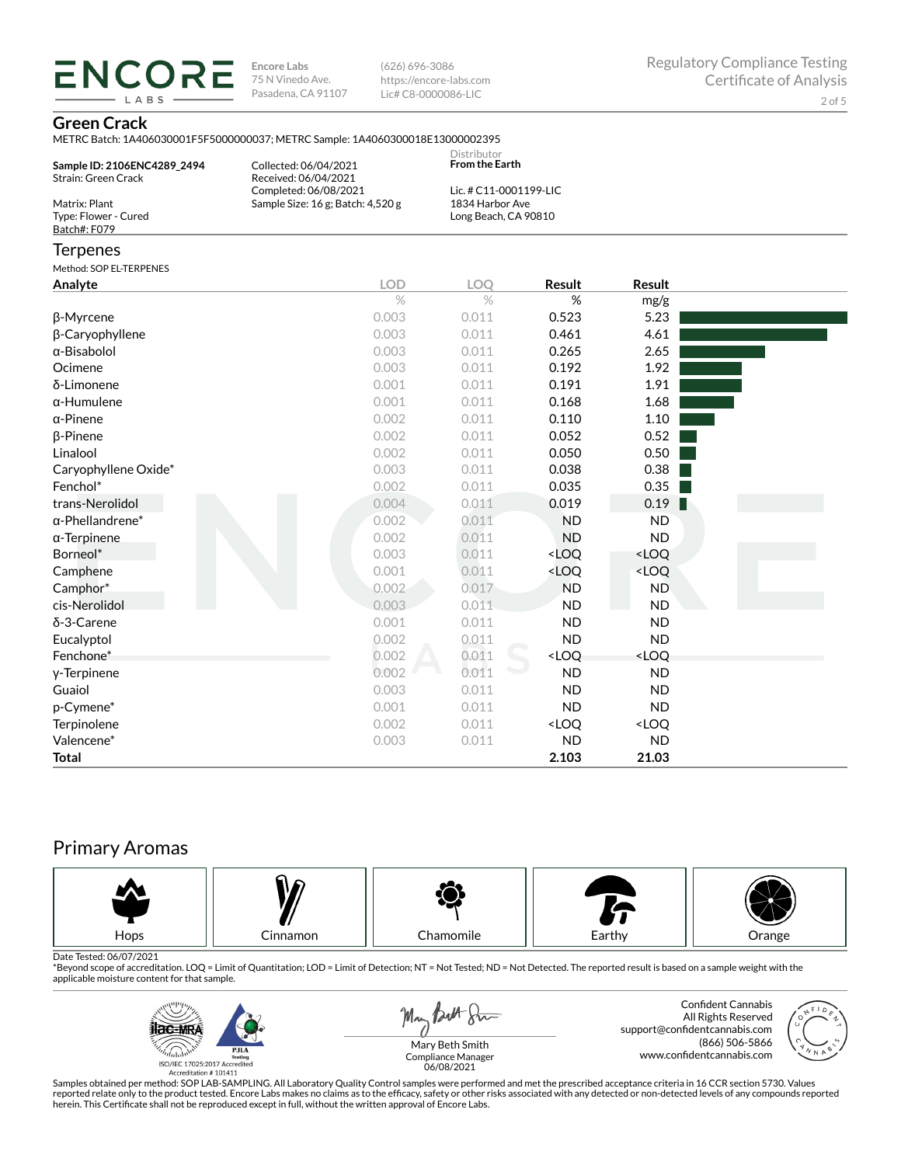**ENCORE Encore Labs** 75 N Vinedo Ave. Pasadena, CA 91107

(626) 696-3086 https://encore-labs.com Lic# C8-0000086-LIC

#### **Green Crack**

LABS

METRC Batch: 1A406030001F5F5000000037; METRC Sample: 1A4060300018E13000002395

| Sample ID: 2106ENC4289_2494<br><b>Strain: Green Crack</b> | VIETING DALCII. IMPOODOODII DI DOOOOOODI , METING DAIIIDIG. IMPOODOODOEID<br>Collected: 06/04/2021<br>Received: 06/04/2021 | Distributor<br><b>From the Earth</b>                              |                                                          |                              |  |
|-----------------------------------------------------------|----------------------------------------------------------------------------------------------------------------------------|-------------------------------------------------------------------|----------------------------------------------------------|------------------------------|--|
| Matrix: Plant<br>Type: Flower - Cured<br>Batch#: F079     | Completed: 06/08/2021<br>Sample Size: 16 g; Batch: 4,520 g                                                                 | Lic. # C11-0001199-LIC<br>1834 Harbor Ave<br>Long Beach, CA 90810 |                                                          |                              |  |
| <b>Terpenes</b>                                           |                                                                                                                            |                                                                   |                                                          |                              |  |
| Method: SOP EL-TERPENES                                   |                                                                                                                            |                                                                   |                                                          |                              |  |
| Analyte                                                   | <b>LOD</b>                                                                                                                 | LOQ                                                               | Result                                                   | Result                       |  |
|                                                           | $\%$                                                                                                                       | $\%$                                                              | %                                                        | mg/g                         |  |
| β-Myrcene                                                 | 0.003                                                                                                                      | 0.011                                                             | 0.523                                                    | 5.23                         |  |
| β-Caryophyllene                                           | 0.003                                                                                                                      | 0.011                                                             | 0.461                                                    | 4.61                         |  |
| $\alpha$ -Bisabolol                                       | 0.003                                                                                                                      | 0.011                                                             | 0.265                                                    | 2.65                         |  |
| Ocimene                                                   | 0.003                                                                                                                      | 0.011                                                             | 0.192                                                    | 1.92                         |  |
| δ-Limonene                                                | 0.001                                                                                                                      | 0.011                                                             | 0.191                                                    | 1.91                         |  |
| $\alpha$ -Humulene                                        | 0.001                                                                                                                      | 0.011                                                             | 0.168                                                    | 1.68                         |  |
| $\alpha$ -Pinene                                          | 0.002                                                                                                                      | 0.011                                                             | 0.110                                                    | 1.10                         |  |
| $\beta$ -Pinene                                           | 0.002                                                                                                                      | 0.011                                                             | 0.052                                                    | 0.52                         |  |
| Linalool                                                  | 0.002                                                                                                                      | 0.011                                                             | 0.050                                                    | 0.50                         |  |
| Caryophyllene Oxide*                                      | 0.003                                                                                                                      | 0.011                                                             | 0.038                                                    | 0.38                         |  |
| Fenchol*                                                  | 0.002                                                                                                                      | 0.011                                                             | 0.035                                                    | 0.35                         |  |
| trans-Nerolidol                                           | 0.004                                                                                                                      | 0.011                                                             | 0.019                                                    | 0.19                         |  |
| $\alpha$ -Phellandrene*                                   | 0.002                                                                                                                      | 0.011                                                             | <b>ND</b>                                                | <b>ND</b>                    |  |
| $\alpha$ -Terpinene                                       | 0.002                                                                                                                      | 0.011                                                             | <b>ND</b>                                                | <b>ND</b>                    |  |
| Borneol*                                                  | 0.003                                                                                                                      | 0.011                                                             | <loq< td=""><td><loq< td=""><td></td></loq<></td></loq<> | <loq< td=""><td></td></loq<> |  |
| Camphene                                                  | 0.001                                                                                                                      | 0.011                                                             | <loq< td=""><td><loq< td=""><td></td></loq<></td></loq<> | <loq< td=""><td></td></loq<> |  |
| Camphor*                                                  | 0.002                                                                                                                      | 0.017                                                             | <b>ND</b>                                                | <b>ND</b>                    |  |
| cis-Nerolidol                                             | 0.003                                                                                                                      | 0.011                                                             | <b>ND</b>                                                | <b>ND</b>                    |  |
| δ-3-Carene                                                | 0.001                                                                                                                      | 0.011                                                             | <b>ND</b>                                                | <b>ND</b>                    |  |
| Eucalyptol                                                | 0.002                                                                                                                      | 0.011                                                             | <b>ND</b>                                                | <b>ND</b>                    |  |
| Fenchone*                                                 | 0.002                                                                                                                      | 0.011                                                             | <loq< td=""><td><loq< td=""><td></td></loq<></td></loq<> | <loq< td=""><td></td></loq<> |  |
| y-Terpinene                                               | 0.002                                                                                                                      | 0.011                                                             | <b>ND</b>                                                | <b>ND</b>                    |  |
| Guaiol                                                    | 0.003                                                                                                                      | 0.011                                                             | <b>ND</b>                                                | <b>ND</b>                    |  |
| p-Cymene*                                                 | 0.001                                                                                                                      | 0.011                                                             | <b>ND</b>                                                | <b>ND</b>                    |  |
| Terpinolene                                               | 0.002                                                                                                                      | 0.011                                                             | <loq< td=""><td><loq< td=""><td></td></loq<></td></loq<> | <loq< td=""><td></td></loq<> |  |
| Valencene*                                                | 0.003                                                                                                                      | 0.011                                                             | <b>ND</b>                                                | <b>ND</b>                    |  |
| <b>Total</b>                                              |                                                                                                                            |                                                                   | 2.103                                                    | 21.03                        |  |

# Primary Aromas



Date Tested: 06/07/2021<br>\*Beyond scope of accreditation. LOQ = Limit of Quantitation; LOD = Limit of Detection; NT = Not Tested; ND = Not Detected. The reported result is based on a sample weight with the applicable moisture content for that sample.



May Both Sur

Confident Cannabis All Rights Reserved support@confidentcannabis.com (866) 506-5866 www.confidentcannabis.com



Mary Beth Smith Compliance Manager 06/08/2021

Samples obtained per method: SOP LAB-SAMPLING. All Laboratory Quality Control samples were performed and met the prescribed acceptance criteria in 16 CCR section 5730. Values reported relate only to the product tested. Encore Labs makes no claims as to the efficacy, safety or other risks associated with any detected or non-detected levels of any compounds reported<br>herein. This Certificate shall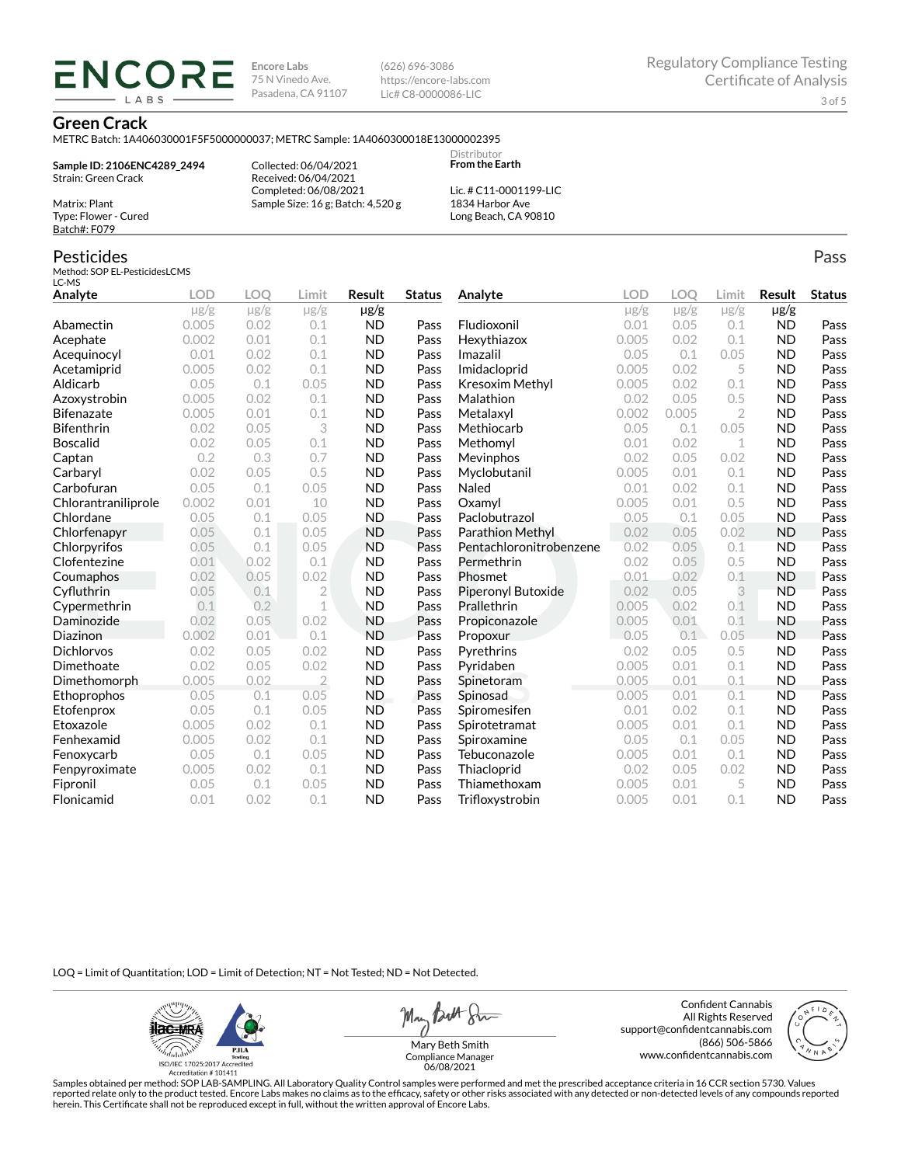**Encore Labs** 75 N Vinedo Ave. Pasadena, CA 91107 (626) 696-3086 https://encore-labs.com Lic# C8-0000086-LIC

#### **Green Crack**

METRC Batch: 1A406030001F5F5000000037; METRC Sample: 1A4060300018E13000002395

**Sample ID: 2106ENC4289\_2494** Strain: Green Crack Matrix: Plant

**ENCOR** LABS

> Collected: 06/04/2021 Received: 06/04/2021 Completed: 06/08/2021 Sample Size: 16 g; Batch: 4,520 g

Lic. # C11-0001199-LIC 1834 Harbor Ave Long Beach, CA 90810

Distributor **From the Earth**

### Pesticides

Type: Flower - Cured Batch#: F079

Method: SOP EL-PesticidesLCMS LC-MS

| ᄔ내기                 |            |            |                |               |               |                         |           |           |                |           |               |
|---------------------|------------|------------|----------------|---------------|---------------|-------------------------|-----------|-----------|----------------|-----------|---------------|
| Analyte             | <b>LOD</b> | <b>LOO</b> | Limit          | <b>Result</b> | <b>Status</b> | Analyte                 | LOD       | LOO       | Limit          | Result    | <b>Status</b> |
|                     | $\mu$ g/g  | $\mu$ g/g  | $\mu$ g/g      | µg/g          |               |                         | $\mu$ g/g | $\mu$ g/g | $\mu$ g/g      | $\mu$ g/g |               |
| Abamectin           | 0.005      | 0.02       | 0.1            | <b>ND</b>     | Pass          | Fludioxonil             | 0.01      | 0.05      | 0.1            | <b>ND</b> | Pass          |
| Acephate            | 0.002      | 0.01       | 0.1            | <b>ND</b>     | Pass          | Hexythiazox             | 0.005     | 0.02      | 0.1            | <b>ND</b> | Pass          |
| Acequinocyl         | 0.01       | 0.02       | 0.1            | <b>ND</b>     | Pass          | Imazalil                | 0.05      | 0.1       | 0.05           | <b>ND</b> | Pass          |
| Acetamiprid         | 0.005      | 0.02       | 0.1            | <b>ND</b>     | Pass          | Imidacloprid            | 0.005     | 0.02      | 5              | <b>ND</b> | Pass          |
| Aldicarb            | 0.05       | 0.1        | 0.05           | <b>ND</b>     | Pass          | Kresoxim Methyl         | 0.005     | 0.02      | 0.1            | <b>ND</b> | Pass          |
| Azoxystrobin        | 0.005      | 0.02       | 0.1            | <b>ND</b>     | Pass          | Malathion               | 0.02      | 0.05      | 0.5            | <b>ND</b> | Pass          |
| <b>Bifenazate</b>   | 0.005      | 0.01       | 0.1            | <b>ND</b>     | Pass          | Metalaxyl               | 0.002     | 0.005     | $\overline{2}$ | <b>ND</b> | Pass          |
| <b>Bifenthrin</b>   | 0.02       | 0.05       | 3              | <b>ND</b>     | Pass          | Methiocarb              | 0.05      | 0.1       | 0.05           | <b>ND</b> | Pass          |
| <b>Boscalid</b>     | 0.02       | 0.05       | 0.1            | <b>ND</b>     | Pass          | Methomvl                | 0.01      | 0.02      | $\mathbf 1$    | <b>ND</b> | Pass          |
| Captan              | 0.2        | 0.3        | 0.7            | <b>ND</b>     | Pass          | Mevinphos               | 0.02      | 0.05      | 0.02           | <b>ND</b> | Pass          |
| Carbaryl            | 0.02       | 0.05       | 0.5            | <b>ND</b>     | Pass          | Myclobutanil            | 0.005     | 0.01      | 0.1            | <b>ND</b> | Pass          |
| Carbofuran          | 0.05       | 0.1        | 0.05           | <b>ND</b>     | Pass          | Naled                   | 0.01      | 0.02      | 0.1            | <b>ND</b> | Pass          |
| Chlorantraniliprole | 0.002      | 0.01       | 10             | <b>ND</b>     | Pass          | Oxamyl                  | 0.005     | 0.01      | 0.5            | <b>ND</b> | Pass          |
| Chlordane           | 0.05       | 0.1        | 0.05           | <b>ND</b>     | Pass          | Paclobutrazol           | 0.05      | 0.1       | 0.05           | <b>ND</b> | Pass          |
| Chlorfenapyr        | 0.05       | 0.1        | 0.05           | <b>ND</b>     | Pass          | Parathion Methyl        | 0.02      | 0.05      | 0.02           | <b>ND</b> | Pass          |
| Chlorpyrifos        | 0.05       | 0.1        | 0.05           | <b>ND</b>     | Pass          | Pentachloronitrobenzene | 0.02      | 0.05      | 0.1            | <b>ND</b> | Pass          |
| Clofentezine        | 0.01       | 0.02       | 0.1            | <b>ND</b>     | Pass          | Permethrin              | 0.02      | 0.05      | 0.5            | <b>ND</b> | Pass          |
| Coumaphos           | 0.02       | 0.05       | 0.02           | <b>ND</b>     | Pass          | Phosmet                 | 0.01      | 0.02      | 0.1            | <b>ND</b> | Pass          |
| Cyfluthrin          | 0.05       | 0.1        | $\overline{2}$ | <b>ND</b>     | Pass          | Piperonyl Butoxide      | 0.02      | 0.05      | 3              | <b>ND</b> | Pass          |
| Cypermethrin        | 0.1        | 0.2        | 1              | <b>ND</b>     | Pass          | Prallethrin             | 0.005     | 0.02      | 0.1            | <b>ND</b> | Pass          |
| Daminozide          | 0.02       | 0.05       | 0.02           | <b>ND</b>     | Pass          | Propiconazole           | 0.005     | 0.01      | 0.1            | <b>ND</b> | Pass          |
| Diazinon            | 0.002      | 0.01       | 0.1            | <b>ND</b>     | Pass          | Propoxur                | 0.05      | 0.1       | 0.05           | <b>ND</b> | Pass          |
| <b>Dichlorvos</b>   | 0.02       | 0.05       | 0.02           | <b>ND</b>     | Pass          | Pyrethrins              | 0.02      | 0.05      | 0.5            | <b>ND</b> | Pass          |
| Dimethoate          | 0.02       | 0.05       | 0.02           | <b>ND</b>     | Pass          | Pyridaben               | 0.005     | 0.01      | 0.1            | <b>ND</b> | Pass          |
| Dimethomorph        | 0.005      | 0.02       | $\overline{2}$ | <b>ND</b>     | Pass          | Spinetoram              | 0.005     | 0.01      | 0.1            | <b>ND</b> | Pass          |
| Ethoprophos         | 0.05       | 0.1        | 0.05           | ND.           | Pass          | Spinosad                | 0.005     | 0.01      | 0.1            | <b>ND</b> | Pass          |
| Etofenprox          | 0.05       | 0.1        | 0.05           | <b>ND</b>     | Pass          | Spiromesifen            | 0.01      | 0.02      | 0.1            | <b>ND</b> | Pass          |
| Etoxazole           | 0.005      | 0.02       | 0.1            | <b>ND</b>     | Pass          | Spirotetramat           | 0.005     | 0.01      | 0.1            | <b>ND</b> | Pass          |
| Fenhexamid          | 0.005      | 0.02       | 0.1            | <b>ND</b>     | Pass          | Spiroxamine             | 0.05      | 0.1       | 0.05           | <b>ND</b> | Pass          |
| Fenoxycarb          | 0.05       | 0.1        | 0.05           | <b>ND</b>     | Pass          | Tebuconazole            | 0.005     | 0.01      | 0.1            | <b>ND</b> | Pass          |
| Fenpyroximate       | 0.005      | 0.02       | 0.1            | <b>ND</b>     | Pass          | Thiacloprid             | 0.02      | 0.05      | 0.02           | <b>ND</b> | Pass          |
| Fipronil            | 0.05       | 0.1        | 0.05           | <b>ND</b>     | Pass          | Thiamethoxam            | 0.005     | 0.01      | 5              | <b>ND</b> | Pass          |
| Flonicamid          | 0.01       | 0.02       | 0.1            | <b>ND</b>     | Pass          | Trifloxystrobin         | 0.005     | 0.01      | 0.1            | <b>ND</b> | Pass          |

LOQ = Limit of Quantitation; LOD = Limit of Detection; NT = Not Tested; ND = Not Detected.

**ilac-MRA PJLA**  $d_{\rm thbb}$ ISO/IEC 17025:2017 Ac Accreditation #101411

May Butt Sin

Confident Cannabis All Rights Reserved support@confidentcannabis.com (866) 506-5866 www.confidentcannabis.com



Mary Beth Smith Compliance Manager 06/08/2021

Samples obtained per method: SOP LAB-SAMPLING. All Laboratory Quality Control samples were performed and met the prescribed acceptance criteria in 16 CCR section 5730. Values reported relate only to the product tested. Encore Labs makes no claims as to the efficacy, safety or other risks associated with any detected or non-detected levels of any compounds reported<br>herein. This Certificate shall

Pass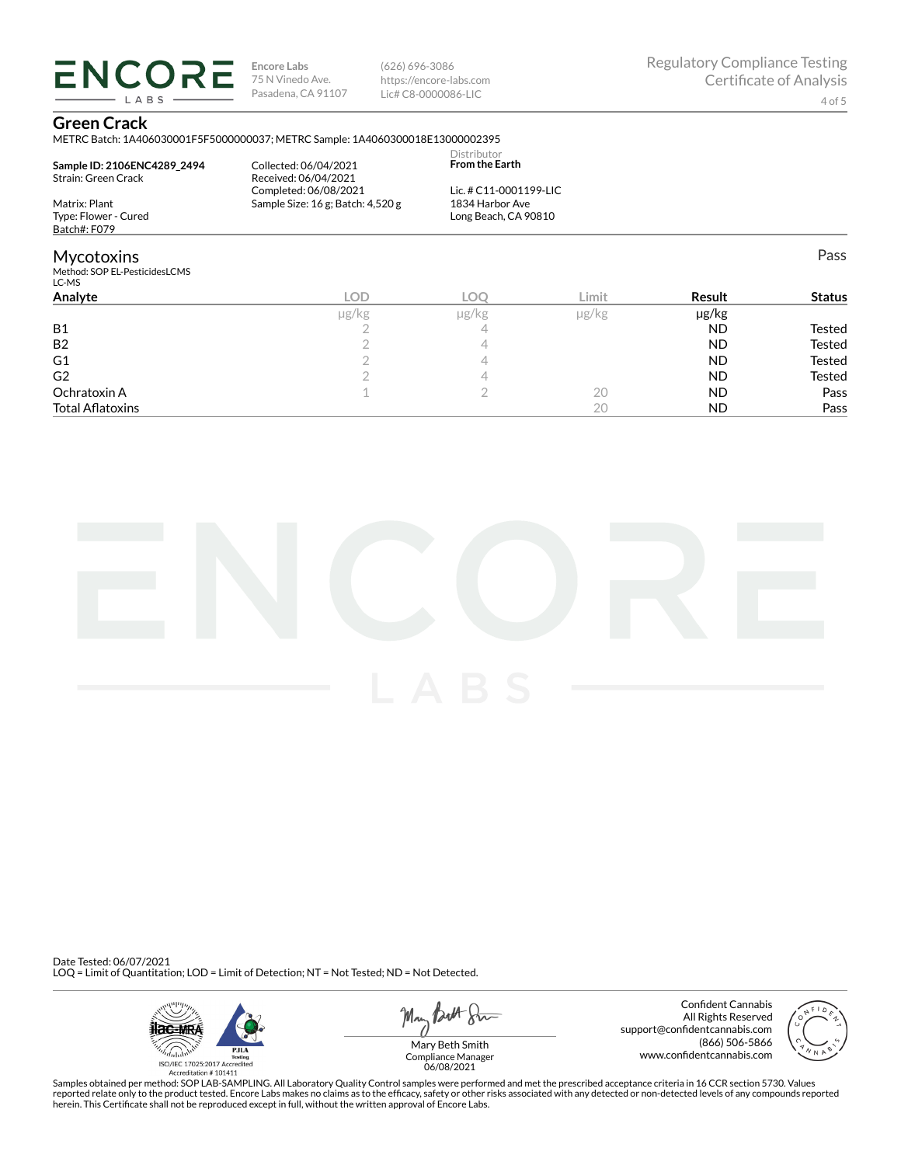**ENCORE Encore Labs** 75 N Vinedo Ave. Pasadena, CA 91107

(626) 696-3086 https://encore-labs.com Lic# C8-0000086-LIC

Pass

#### **Green Crack**

LABS

METRC Batch: 1A406030001F5F5000000037; METRC Sample: 1A4060300018E13000002395

| Sample ID: 2106ENC4289 2494<br>Strain: Green Crack | Collected: 06/04/2021<br>Received: 06/04/2021<br>Completed: 06/08/2021 | Distributor<br><b>From the Earth</b><br>Lic. # C11-0001199-LIC |      |
|----------------------------------------------------|------------------------------------------------------------------------|----------------------------------------------------------------|------|
| Matrix: Plant<br>Type: Flower - Cured              | Sample Size: 16 g; Batch: 4,520 g                                      | 1834 Harbor Ave<br>Long Beach, CA 90810                        |      |
| Batch#: F079                                       |                                                                        |                                                                |      |
| <b>Mycotoxins</b>                                  |                                                                        |                                                                |      |
| Method: SOP EL-PesticidesLCMS<br>LC-MS             |                                                                        |                                                                |      |
| Analyta                                            | n n                                                                    | $\cap$                                                         | imit |

| Analyte                 | LOD   | −O⊖        | Limit | Result    | <b>Status</b> |
|-------------------------|-------|------------|-------|-----------|---------------|
|                         | µg/kg | $\mu$ g/kg | µg/kg | µg/kg     |               |
| <b>B1</b>               |       |            |       | <b>ND</b> | Tested        |
| B <sub>2</sub>          |       |            |       | <b>ND</b> | <b>Tested</b> |
| G <sub>1</sub>          |       |            |       | <b>ND</b> | <b>Tested</b> |
| G <sub>2</sub>          |       |            |       | <b>ND</b> | Tested        |
| Ochratoxin A            |       |            | 20    | <b>ND</b> | Pass          |
| <b>Total Aflatoxins</b> |       |            | 20    | <b>ND</b> | Pass          |



Date Tested: 06/07/2021 LOQ = Limit of Quantitation; LOD = Limit of Detection; NT = Not Tested; ND = Not Detected.



May *Butt* 8mm

Confident Cannabis All Rights Reserved support@confidentcannabis.com (866) 506-5866 www.confidentcannabis.com



Compliance Manager 06/08/2021

Samples obtained per method: SOP LAB-SAMPLING. All Laboratory Quality Control samples were performed and met the prescribed acceptance criteria in 16 CCR section 5730. Values reported relate only to the product tested. Encore Labs makes no claims as to the efficacy, safety or other risks associated with any detected or non-detected levels of any compounds reported<br>herein. This Certificate shall